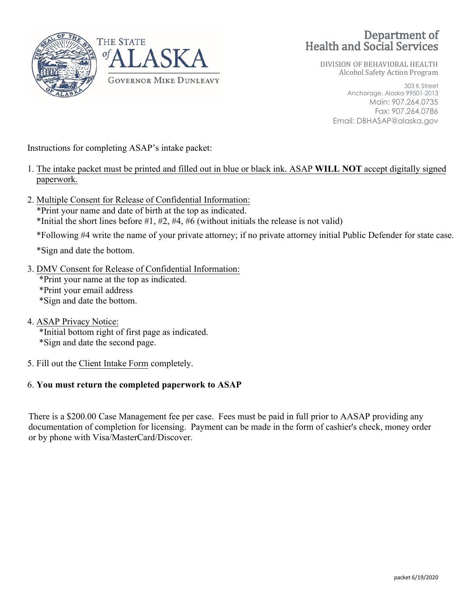

DIVISION OF BEHAVIORAL HEALTH Alcohol Safety Action Program

> 303 K Street Anchorage, Alaska 99501-2013 Main: 907.264.0735 Fax: 907.264.0786 Email: [DBHASAP@alaska.gov](mailto:DBHASAP@alaska.gov)

# Instructions for completing ASAP's intake packet:

- 1. The intake packet must be printed and filled out in blue or black ink. ASAP **WILL NOT** accept digitally signed paperwork.
- 2. Multiple Consent for Release of Confidential Information: \*Print your name and date of birth at the top as indicated. \*Initial the short lines before  $#1, #2, #4, #6$  (without initials the release is not valid)

\*Following #4 write the name of your private attorney; if no private attorney initial Public Defender for state case.

\*Sign and date the bottom.

3. DMV Consent for Release of Confidential Information:

\*Print your name at the top as indicated. \*Print your email address

\*Sign and date the bottom.

4. ASAP Privacy Notice:

\*Initial bottom right of first page as indicated. \*Sign and date the second page.

5. Fill out the Client Intake Form completely.

# 6. **You must return the completed paperwork to ASAP**

 or by phone with Visa/MasterCard/Discover. There is a \$200.00 Case Management fee per case. Fees must be paid in full prior to AASAP providing any documentation of completion for licensing. Payment can be made in the form of cashier's check, money order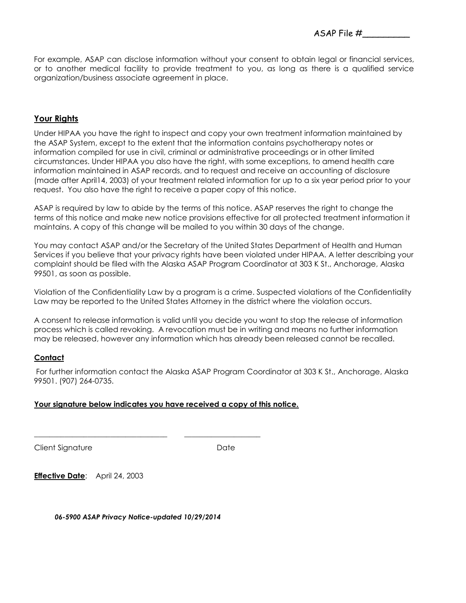For example, ASAP can disclose information without your consent to obtain legal or financial services, or to another medical facility to provide treatment to you, as long as there is a qualified service organization/business associate agreement in place.

# **Your Rights**

request. You also have the right to receive a paper copy of this notice. Under HIPAA you have the right to inspect and copy your own treatment information maintained by the ASAP System, except to the extent that the information contains psychotherapy notes or information compiled for use in civil, criminal or administrative proceedings or in other limited circumstances. Under HIPAA you also have the right, with some exceptions, to amend health care information maintained in ASAP records, and to request and receive an accounting of disclosure (made after April14, 2003) of your treatment related information for up to a six year period prior to your

maintains. A copy of this change will be mailed to you within 30 days of the change. ASAP is required by law to abide by the terms of this notice. ASAP reserves the right to change the terms of this notice and make new notice provisions effective for all protected treatment information it

 complaint should be filed with the Alaska ASAP Program Coordinator at 303 K St., Anchorage, Alaska 99501, as soon as possible. You may contact ASAP and/or the Secretary of the United States Department of Health and Human Services if you believe that your privacy rights have been violated under HIPAA. A letter describing your

Violation of the Confidentiality Law by a program is a crime. Suspected violations of the Confidentiality Law may be reported to the United States Attorney in the district where the violation occurs.

 process which is called revoking. A revocation must be in writing and means no further information A consent to release information is valid until you decide you want to stop the release of information may be released, however any information which has already been released cannot be recalled.

# **Contact**

 For further information contact the Alaska ASAP Program Coordinator at 303 K St., Anchorage, Alaska 99501. (907) 264-0735.

# **Your signature below indicates you have received a copy of this notice.**

**\_\_\_\_\_\_\_\_\_\_\_\_\_\_\_\_\_\_\_\_\_\_\_\_\_\_\_\_\_\_\_\_\_\_\_ \_\_\_\_\_\_\_\_\_\_\_\_\_\_\_\_\_\_\_\_** 

Client Signature **Date** Date

| <b>Effective Date:</b> | April 24, 2003 |  |
|------------------------|----------------|--|
|------------------------|----------------|--|

*06-5900 ASAP Privacy Notice-updated 10/29/2014*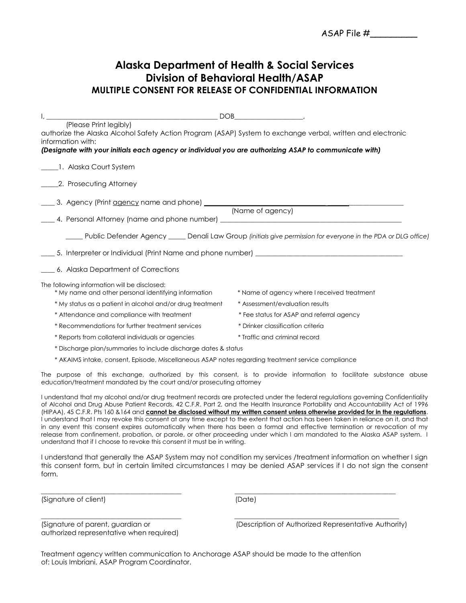| authorize the Alaska Alcohol Safety Action Program (ASAP) System to exchange verbal, written and electronic<br>information with:<br>(Designate with your initials each agency or individual you are authorizing ASAP to communicate with) |                                                                                                                |
|-------------------------------------------------------------------------------------------------------------------------------------------------------------------------------------------------------------------------------------------|----------------------------------------------------------------------------------------------------------------|
| ______1. Alaska Court System                                                                                                                                                                                                              |                                                                                                                |
| 2. Prosecuting Attorney                                                                                                                                                                                                                   |                                                                                                                |
|                                                                                                                                                                                                                                           |                                                                                                                |
|                                                                                                                                                                                                                                           |                                                                                                                |
| 4. Personal Attorney (name and phone number) ______                                                                                                                                                                                       |                                                                                                                |
|                                                                                                                                                                                                                                           | Public Defender Agency _____ Denali Law Group (initials give permission for everyone in the PDA or DLG office) |
|                                                                                                                                                                                                                                           |                                                                                                                |
| 6. Alaska Department of Corrections                                                                                                                                                                                                       |                                                                                                                |
| The following information will be disclosed:<br>* My name and other personal identifying information                                                                                                                                      | * Name of agency where I received treatment                                                                    |
| * My status as a patient in alcohol and/or drug treatment                                                                                                                                                                                 | * Assessment/evaluation results                                                                                |
| * Attendance and compliance with treatment                                                                                                                                                                                                | * Fee status for ASAP and referral agency                                                                      |
| * Recommendations for further treatment services                                                                                                                                                                                          | * Drinker classification criteria                                                                              |
| * Reports from collateral individuals or agencies                                                                                                                                                                                         | * Traffic and criminal record                                                                                  |
| * Discharge plan/summaries to include discharge dates & status                                                                                                                                                                            |                                                                                                                |
| * AKAIMS intake, consent, Episode, Miscellaneous ASAP notes regarding treatment service compliance                                                                                                                                        |                                                                                                                |

 I understand that I may revoke this consent at any time except to the extent that action has been taken in reliance on it, and that in any event this consent expires automatically when there has been a formal and effective termination or revocation of my release from confinement, probation, or parole, or other proceeding under which I am mandated to the Alaska ASAP system. I understand that if I choose to revoke this consent it must be in writing.

 I understand that generally the ASAP System may not condition my services /treatment information on whether I sign this consent form, but in certain limited circumstances I may be denied ASAP services if I do not sign the consent form.

\_\_\_\_\_\_\_\_\_\_\_\_\_\_\_\_\_\_\_\_\_\_\_\_\_\_\_\_\_\_\_\_\_\_\_\_\_\_\_\_\_ \_\_\_\_\_\_\_\_\_\_\_\_\_\_\_\_\_\_\_\_\_\_\_\_\_\_\_\_\_\_\_\_\_\_\_\_\_\_\_\_\_\_\_\_\_\_\_

(Signature of client) (Date)

(Signature of parent, guardian or authorized representative when required) \_\_\_\_\_\_\_\_\_\_\_\_\_\_\_\_\_\_\_\_\_\_\_\_\_\_\_\_\_\_\_\_\_\_\_\_\_\_\_\_\_ \_\_\_\_\_\_\_\_\_\_\_\_\_\_\_\_\_\_\_\_\_\_\_\_\_\_\_\_\_\_\_\_\_\_\_\_\_\_\_\_\_\_\_\_\_\_\_\_

(Description of Authorized Representative Authority)

Treatment agency written communication to Anchorage ASAP should be made to the attention of: Louis Imbriani, ASAP Program Coordinator.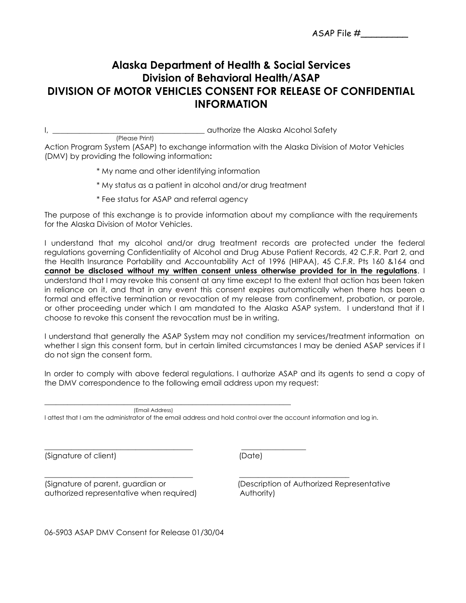# **Alaska Department of Health & Social Services Division of Behavioral Health/ASAP DIVISION OF MOTOR VEHICLES CONSENT FOR RELEASE OF CONFIDENTIAL INFORMATION**

I, \_\_\_\_\_\_\_\_\_\_\_\_\_\_\_\_\_\_\_\_\_\_\_\_\_\_\_\_\_\_\_\_\_\_\_\_\_\_\_\_ authorize the Alaska Alcohol Safety

(Please Print) Action Program System (ASAP) to exchange information with the Alaska Division of Motor Vehicles

(DMV) by providing the following information**:** 

- \* My name and other identifying information
- \* My status as a patient in alcohol and/or drug treatment
- \* Fee status for ASAP and referral agency

\_\_\_\_\_\_\_\_\_\_\_\_\_\_\_\_\_\_\_\_\_\_\_\_\_\_\_\_\_\_\_\_\_\_\_\_\_\_\_\_\_\_\_\_\_\_\_\_\_\_\_\_\_\_\_\_\_\_\_\_\_\_\_\_\_

\_\_\_\_\_\_\_\_\_\_\_\_\_\_\_\_\_\_\_\_\_\_\_\_\_\_\_\_\_\_\_\_\_\_\_\_\_\_\_ \_\_\_\_\_\_\_\_\_\_\_\_\_\_\_\_\_

The purpose of this exchange is to provide information about my compliance with the requirements for the Alaska Division of Motor Vehicles.

 I understand that my alcohol and/or drug treatment records are protected under the federal regulations governing Confidentiality of Alcohol and Drug Abuse Patient Records, 42 C.F.R. Part 2, and the Health Insurance Portability and Accountability Act of 1996 (HIPAA), 45 C.F.R. Pts 160 &164 and  **cannot be disclosed without my written consent unless otherwise provided for in the regulations**. I understand that I may revoke this consent at any time except to the extent that action has been taken in reliance on it, and that in any event this consent expires automatically when there has been a formal and effective termination or revocation of my release from confinement, probation, or parole, or other proceeding under which I am mandated to the Alaska ASAP system. I understand that if I choose to revoke this consent the revocation must be in writing.

 I understand that generally the ASAP System may not condition my services/treatment information on whether I sign this consent form, but in certain limited circumstances I may be denied ASAP services if I do not sign the consent form.

In order to comply with above federal regulations. I authorize ASAP and its agents to send a copy of the DMV correspondence to the following email address upon my request:

 (Email Address) I attest that I am the administrator of the email address and hold control over the account information and log in.

\_\_\_\_\_\_\_\_\_\_\_\_\_\_\_\_\_\_\_\_\_\_\_\_\_\_\_\_\_\_\_\_\_\_\_\_\_\_\_ \_\_\_\_\_\_\_\_\_\_\_\_\_\_\_\_\_\_\_\_\_\_\_\_\_\_\_\_\_

(Signature of client)

(Date)

(Signature of parent, guardian or (Description of Authorized Representative authorized representative when required) and humanity

06-5903 ASAP DMV Consent for Release 01/30/04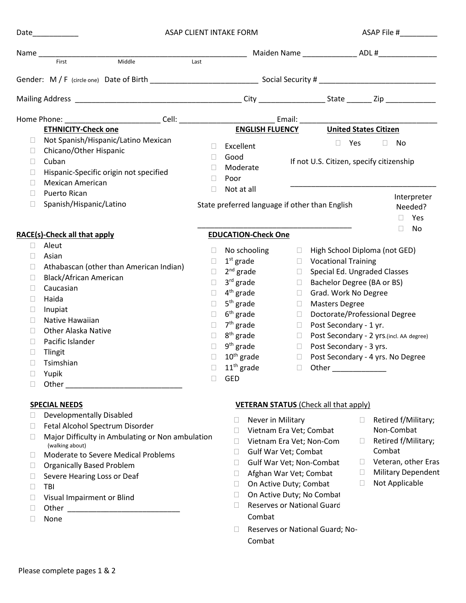|                                                                                                  | Date_____________                       | ASAP CLIENT INTAKE FORM                               |                                                                        |        | ASAP File #                                  |                            |  |  |
|--------------------------------------------------------------------------------------------------|-----------------------------------------|-------------------------------------------------------|------------------------------------------------------------------------|--------|----------------------------------------------|----------------------------|--|--|
| Name__                                                                                           |                                         |                                                       |                                                                        |        |                                              |                            |  |  |
|                                                                                                  | Middle<br>First                         | $\overline{Last}$                                     |                                                                        |        |                                              |                            |  |  |
|                                                                                                  |                                         |                                                       |                                                                        |        |                                              |                            |  |  |
|                                                                                                  |                                         |                                                       |                                                                        |        |                                              |                            |  |  |
| Home Phone: ______________________________Cell: _________________________________Email: ________ |                                         |                                                       |                                                                        |        |                                              |                            |  |  |
|                                                                                                  | <b>ETHNICITY-Check one</b>              |                                                       | <b>ENGLISH FLUENCY</b> United States Citizen                           |        |                                              |                            |  |  |
| $\Box$                                                                                           | Not Spanish/Hispanic/Latino Mexican     |                                                       |                                                                        |        | $\Box$ Yes                                   | $\Box$ No                  |  |  |
| $\Box$                                                                                           | Chicano/Other Hispanic                  | $\Box$                                                | Excellent                                                              |        |                                              |                            |  |  |
| $\Box$                                                                                           | Cuban                                   | $\Box$                                                | Good                                                                   |        | If not U.S. Citizen, specify citizenship     |                            |  |  |
| $\Box$                                                                                           | Hispanic-Specific origin not specified  | П                                                     | Moderate                                                               |        |                                              |                            |  |  |
| П                                                                                                | Mexican American                        | П                                                     | Poor                                                                   |        |                                              |                            |  |  |
| $\Box$                                                                                           | Puerto Rican                            | П                                                     | Not at all                                                             |        |                                              | Interpreter                |  |  |
| $\Box$                                                                                           | Spanish/Hispanic/Latino                 |                                                       | State preferred language if other than English                         |        |                                              | Needed?<br>$\Box$<br>Yes   |  |  |
|                                                                                                  | <b>RACE(s)-Check all that apply</b>     |                                                       | <b>EDUCATION-Check One</b>                                             |        |                                              | П<br>No                    |  |  |
| $\Box$                                                                                           | Aleut                                   |                                                       |                                                                        |        |                                              |                            |  |  |
| $\Box$                                                                                           | Asian                                   |                                                       | $\Box$ No schooling                                                    |        | □ High School Diploma (not GED)              |                            |  |  |
| $\Box$                                                                                           | Athabascan (other than American Indian) | $\Box$ 1 <sup>st</sup> grade<br>□ Vocational Training |                                                                        |        |                                              |                            |  |  |
| П                                                                                                | <b>Black/African American</b>           |                                                       | $\Box$ 2 <sup>nd</sup> grade<br>Special Ed. Ungraded Classes<br>$\Box$ |        |                                              |                            |  |  |
| П                                                                                                | Caucasian                               | $\Box$                                                | $3rd$ grade                                                            | $\Box$ | Bachelor Degree (BA or BS)                   |                            |  |  |
| П                                                                                                | Haida                                   | $\Box$                                                | $4th$ grade                                                            | $\Box$ |                                              | Grad. Work No Degree       |  |  |
| $\Box$                                                                                           | Inupiat                                 | $\Box$                                                | $5th$ grade                                                            | $\Box$ | <b>Masters Degree</b>                        |                            |  |  |
| $\Box$                                                                                           | Native Hawaiian                         |                                                       | $\Box$ 6 <sup>th</sup> grade                                           | $\Box$ | Doctorate/Professional Degree                |                            |  |  |
| П                                                                                                | <b>Other Alaska Native</b>              |                                                       | $\Box$ 7 <sup>th</sup> grade                                           | $\Box$ | Post Secondary - 1 yr.                       |                            |  |  |
| П                                                                                                | Pacific Islander                        |                                                       | $\Box$ 8 <sup>th</sup> grade                                           | $\Box$ | Post Secondary - 2 yrs.(incl. AA degree)     |                            |  |  |
| $\Box$                                                                                           | Tlingit                                 | $\Box$                                                | 9 <sup>th</sup> grade                                                  | $\Box$ | Post Secondary - 3 yrs.                      |                            |  |  |
| П                                                                                                | Tsimshian                               |                                                       | $\Box$ 10 <sup>th</sup> grade                                          |        | □ Post Secondary - 4 yrs. No Degree          |                            |  |  |
| П                                                                                                | Yupik                                   | П.                                                    | $11th$ grade                                                           | $\Box$ | Other                                        |                            |  |  |
| П                                                                                                |                                         | П                                                     | <b>GED</b>                                                             |        |                                              |                            |  |  |
|                                                                                                  | <b>SPECIAL NEEDS</b>                    |                                                       |                                                                        |        | <b>VETERAN STATUS (Check all that apply)</b> |                            |  |  |
| n.                                                                                               | Developmentally Disabled                |                                                       | Never in Military<br>П.                                                |        |                                              | $\Box$ Retired f/Military; |  |  |
|                                                                                                  |                                         |                                                       |                                                                        |        |                                              |                            |  |  |

- Fetal Alcohol Spectrum Disorder Vietnam Era Vet; Combat Non-Combat
- $\Box$  Major Difficulty in Ambulating or Non ambulation  $\Box$  vietnam Era Vet; Non-Com  $\Box$  Retired f/Military; (walking about) (walking about)<br>
Gulf War Vet; Combat Combat Combat Combat Combat Combat Combat Combat Comber<br>
Gulf War Vet; Non-Combat Diveteran, other Eras
- 
- $\square$  Organically Based Problem  $\square$  Gulf War Vet; Non-Combat  $\square$  Veteran, other Eras  $\square$  Organically Based Problem  $\square$  Afghan War Vet; Combat  $\square$  Military Dependent
- 
- 
- Visual Impairment or Blind
- 
- 
- 
- 
- □ Vietnam Era Vet; Non-Com
- 
- 
- $\Box$  Severe Hearing Loss or Deaf  $\Box$  Afghan War Vet; Combat  $\Box$  Military Dependent  $\Box$  Severe Hearing Loss or Deaf
- □ On Active Duty; Combat □ Not Applicable<br>□ TBI<br>□ On Active Duty: No Combat □ Not Applicable
	- On Active Duty; No Combat
- ; Reserves or National Guard Other \_\_\_\_\_\_\_\_\_\_\_\_\_\_\_\_\_\_\_\_\_\_\_\_\_\_\_ □ None Combat
	- □ Reserves or National Guard; No-Combat
- 
- 
- 
- 
-